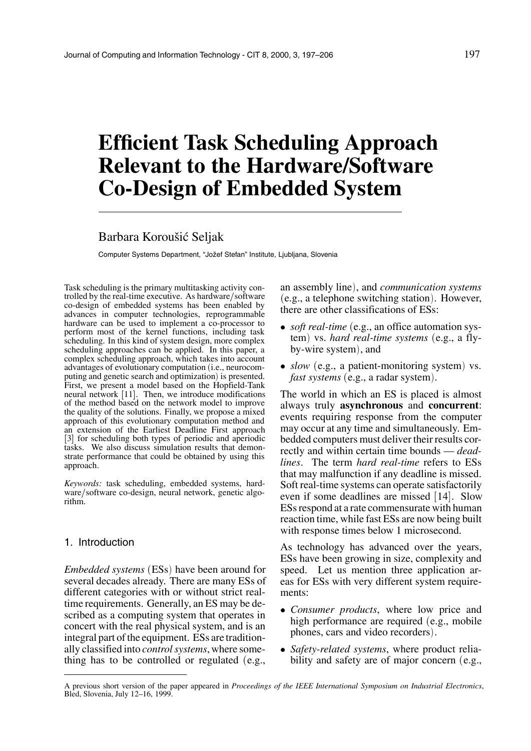# **Efficient Task Scheduling Approach Relevant to the Hardware/Software Co-Design of Embedded System**

# Barbara Koroušić Seljak

Computer Systems Department, "Jožef Stefan" Institute, Ljubljana, Slovenia

Task scheduling is the primary multitasking activity controlled by the real-time executive. As hardware/software co-design of embedded systems has been enabled by advances in computer technologies, reprogrammable hardware can be used to implement a co-processor to perform most of the kernel functions, including task scheduling. In this kind of system design, more complex scheduling approaches can be applied. In this paper, a complex scheduling approach, which takes into account advantages of evolutionary computation (i.e., neurocomputing and genetic search and optimization) is presented. First, we present a model based on the Hopfield-Tank neural network  $[11]$ . Then, we introduce modifications of the method based on the network model to improve the quality of the solutions. Finally, we propose a mixed approach of this evolutionary computation method and an extension of the Earliest Deadline First approach [3] for scheduling both types of periodic and aperiodic tasks. We also discuss simulation results that demonstrate performance that could be obtained by using this approach.

*Keywords:* task scheduling, embedded systems, hardware/software co-design, neural network, genetic algorithm.

#### 1. Introduction

*Embedded systems* (ESs) have been around for several decades already. There are many ESs of different categories with or without strict realtime requirements. Generally, an ES may be described as a computing system that operates in concert with the real physical system, and is an integral part of the equipment. ESs are traditionally classified into *control systems*, where something has to be controlled or regulated  $(e.g.,)$ 

an assembly line), and *communication systems* e.g., a telephone switching station. However, there are other classifications of ESs:

- *soft real-time* (e.g., an office automation system) vs. *hard real-time systems* (e.g., a flyby-wire system, and
- $slow$  (e.g., a patient-monitoring system) vs. *fast systems* (e.g., a radar system).

The world in which an ES is placed is almost always truly **asynchronous** and **concurrent**: events requiring response from the computer may occur at any time and simultaneously. Embedded computers must deliver their results correctly and within certain time bounds — *deadlines*. The term *hard real-time* refers to ESs that may malfunction if any deadline is missed. Soft real-time systems can operate satisfactorily even if some deadlines are missed [14]. Slow ESs respond at a rate commensurate with human reaction time, while fast ESs are now being built with response times below 1 microsecond.

As technology has advanced over the years, ESs have been growing in size, complexity and speed. Let us mention three application areas for ESs with very different system requirements:

- *Consumer products*, where low price and high performance are required  $(e.g., \text{ mobile})$ phones, cars and video recorders).
- *Safety-related systems*, where product reliability and safety are of major concern  $(e.g.,)$

A previous short version of the paper appeared in *Proceedings of the IEEE International Symposium on Industrial Electronics*, Bled, Slovenia, July 12–16, 1999.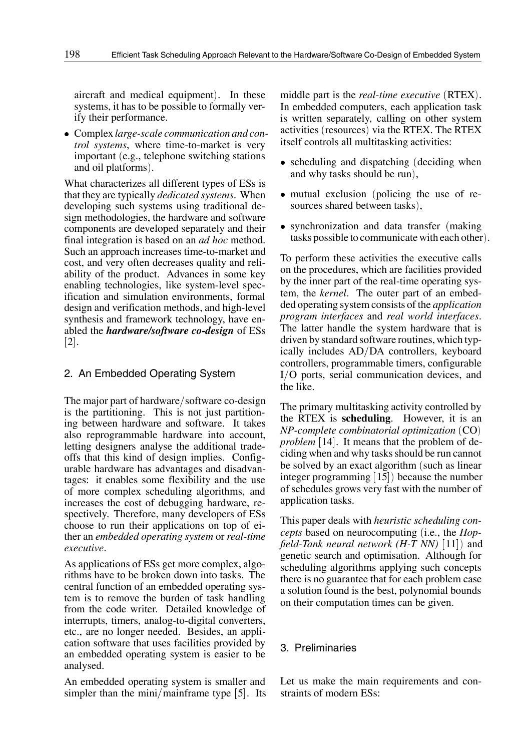aircraft and medical equipment). In these systems, it has to be possible to formally verify their performance.

 Complex*large-scale communication and control systems*, where time-to-market is very important (e.g., telephone switching stations) and oil platforms).

What characterizes all different types of ESs is that they are typically *dedicated systems*. When developing such systems using traditional design methodologies, the hardware and software components are developed separately and their final integration is based on an *ad hoc* method. Such an approach increases time-to-market and cost, and very often decreases quality and reliability of the product. Advances in some key enabling technologies, like system-level specification and simulation environments, formal design and verification methods, and high-level synthesis and framework technology, have enabled the *hardware/software co-design* of ESs  $\left[ 2 \right]$ .

# 2. An Embedded Operating System

The major part of hardware/software co-design is the partitioning. This is not just partitioning between hardware and software. It takes also reprogrammable hardware into account, letting designers analyse the additional tradeoffs that this kind of design implies. Configurable hardware has advantages and disadvantages: it enables some flexibility and the use of more complex scheduling algorithms, and increases the cost of debugging hardware, respectively. Therefore, many developers of ESs choose to run their applications on top of either an *embedded operating system* or *real-time executive*.

As applications of ESs get more complex, algorithms have to be broken down into tasks. The central function of an embedded operating system is to remove the burden of task handling from the code writer. Detailed knowledge of interrupts, timers, analog-to-digital converters, etc., are no longer needed. Besides, an application software that uses facilities provided by an embedded operating system is easier to be analysed.

An embedded operating system is smaller and simpler than the mini/mainframe type  $[5]$ . Its

middle part is the *real-time executive* (RTEX). In embedded computers, each application task is written separately, calling on other system activities (resources) via the RTEX. The RTEX itself controls all multitasking activities:

- scheduling and dispatching (deciding when and why tasks should be run),
- mutual exclusion (policing the use of resources shared between tasks),
- synchronization and data transfer (making tasks possible to communicate with each other.

To perform these activities the executive calls on the procedures, which are facilities provided by the inner part of the real-time operating system, the *kernel*. The outer part of an embedded operating system consists of the *application program interfaces* and *real world interfaces*. The latter handle the system hardware that is driven by standard software routines, which typically includes  $AD/DA$  controllers, keyboard controllers, programmable timers, configurable I/O ports, serial communication devices, and the like.

The primary multitasking activity controlled by the RTEX is **scheduling**. However, it is an *NP-complete combinatorial optimization* CO problem [14]. It means that the problem of deciding when and why tasks should be run cannot be solved by an exact algorithm (such as linear integer programming  $[15]$ ) because the number of schedules grows very fast with the number of application tasks.

This paper deals with *heuristic scheduling concepts* based on neurocomputing (i.e., the *Hopfield-Tank neural network (H-T NN)*  $[11]$ ) and genetic search and optimisation. Although for scheduling algorithms applying such concepts there is no guarantee that for each problem case a solution found is the best, polynomial bounds on their computation times can be given.

# 3. Preliminaries

Let us make the main requirements and constraints of modern ESs: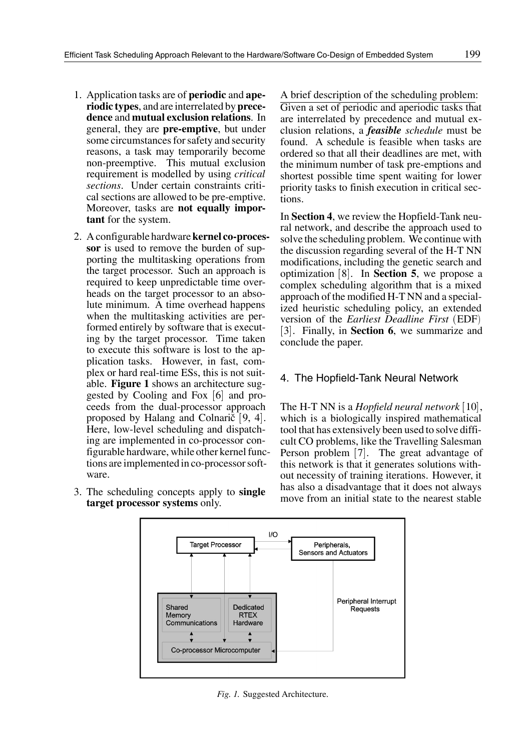- 1. Application tasks are of **periodic** and **aperiodic types**, and are interrelated by **precedence** and **mutual exclusion relations**. In general, they are **pre-emptive**, but under some circumstances for safety and security reasons, a task may temporarily become non-preemptive. This mutual exclusion requirement is modelled by using *critical sections*. Under certain constraints critical sections are allowed to be pre-emptive. Moreover, tasks are **not equally important** for the system.
- 2. A configurable hardware **kernel co-processor** is used to remove the burden of supporting the multitasking operations from the target processor. Such an approach is required to keep unpredictable time overheads on the target processor to an absolute minimum. A time overhead happens when the multitasking activities are performed entirely by software that is executing by the target processor. Time taken to execute this software is lost to the application tasks. However, in fast, complex or hard real-time ESs, this is not suitable. **Figure 1** shows an architecture suggested by Cooling and Fox  $[6]$  and proceeds from the dual-processor approach proposed by Halang and Colnarič  $[9, 4]$ . Here, low-level scheduling and dispatching are implemented in co-processor configurable hardware, while other kernel functions are implemented in co-processor software.
- 3. The scheduling concepts apply to **single target processor systems** only.

A brief description of the scheduling problem: Given a set of periodic and aperiodic tasks that are interrelated by precedence and mutual exclusion relations, a *feasible schedule* must be

found. A schedule is feasible when tasks are ordered so that all their deadlines are met, with the minimum number of task pre-emptions and shortest possible time spent waiting for lower priority tasks to finish execution in critical sections.

In **Section 4**, we review the Hopfield-Tank neural network, and describe the approach used to solve the scheduling problem. We continue with the discussion regarding several of the H-T NN modifications, including the genetic search and optimization [8]. In **Section 5**, we propose a complex scheduling algorithm that is a mixed approach of the modified H-T NN and a specialized heuristic scheduling policy, an extended version of the *Earliest Deadline First* (EDF) [3]. Finally, in **Section 6**, we summarize and conclude the paper.

# 4. The Hopfield-Tank Neural Network

The H-T NN is a *Hopfield neural network* [10], which is a biologically inspired mathematical tool that has extensively been used to solve difficult CO problems, like the Travelling Salesman Person problem [7]. The great advantage of this network is that it generates solutions without necessity of training iterations. However, it has also a disadvantage that it does not always move from an initial state to the nearest stable



*Fig. 1.* Suggested Architecture.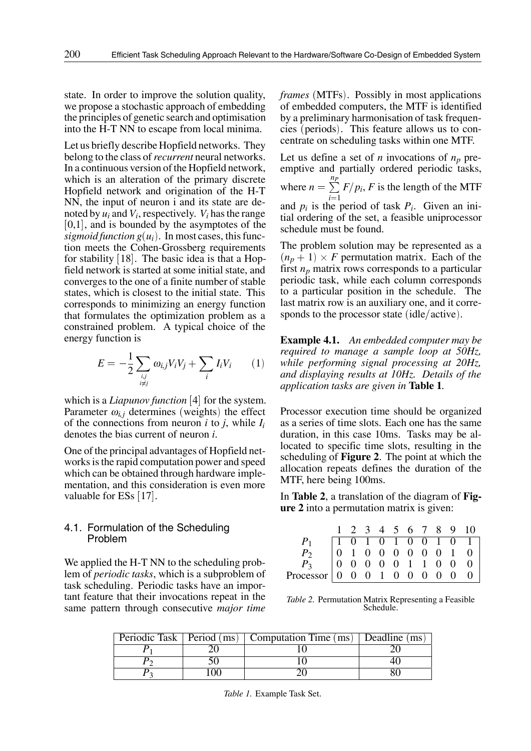state. In order to improve the solution quality, we propose a stochastic approach of embedding the principles of genetic search and optimisation into the H-T NN to escape from local minima.

Let us briefly describe Hopfield networks. They belong to the class of*recurrent* neural networks. In a continuous version of the Hopfield network, which is an alteration of the primary discrete Hopfield network and origination of the H-T NN, the input of neuron i and its state are denoted by *ui* and *Vi*, respectively. *Vi* has the range  $[0,1]$ , and is bounded by the asymptotes of the *sigmoid function*  $g(u_i)$ *. In most cases, this func*tion meets the Cohen-Grossberg requirements for stability  $[18]$ . The basic idea is that a Hopfield network is started at some initial state, and converges to the one of a finite number of stable states, which is closest to the initial state. This corresponds to minimizing an energy function that formulates the optimization problem as a constrained problem. A typical choice of the energy function is

$$
E = -\frac{1}{2} \sum_{\substack{i,j \\ i \neq j}} \omega_{i,j} V_i V_j + \sum_i I_i V_i \qquad (1)
$$

which is a *Liapunov function* [4] for the system. Parameter  $\omega_{i,i}$  determines (weights) the effect of the connections from neuron *i* to *j*, while *Ii* denotes the bias current of neuron *i*.

One of the principal advantages of Hopfield networks is the rapid computation power and speed which can be obtained through hardware implementation, and this consideration is even more valuable for ESs  $[17]$ .

## 4.1. Formulation of the Scheduling Problem

We applied the H-T NN to the scheduling problem of *periodic tasks*, which is a subproblem of task scheduling. Periodic tasks have an important feature that their invocations repeat in the same pattern through consecutive *major time*

*frames* (MTFs). Possibly in most applications of embedded computers, the MTF is identified by a preliminary harmonisation of task frequencies (periods). This feature allows us to concentrate on scheduling tasks within one MTF.

Let us define a set of *n* invocations of  $n_p$  preemptive and partially ordered periodic tasks, where  $n = \sum_{i=1}^{n_p} F/p_i$ , *F* is  $i=1$  $F/p_i$ , *F* is the length of the MTF and  $p_i$  is the period of task  $P_i$ . Given an initial ordering of the set, a feasible uniprocessor schedule must be found.

The problem solution may be represented as a  $(n_p + 1) \times F$  permutation matrix. Each of the first  $n_p$  matrix rows corresponds to a particular periodic task, while each column corresponds to a particular position in the schedule. The last matrix row is an auxiliary one, and it corresponds to the processor state  $(idle/active)$ .

 $\omega_{i,j}V_iV_j + \sum I_iV_i$  (1) while performing signal processing at 20Hz, **Example 4.1.** *An embedded computer may be required to manage a sample loop at 50Hz, and displaying results at 10Hz. Details of the application tasks are given in* **Table 1***.*

> Processor execution time should be organized as a series of time slots. Each one has the same duration, in this case 10ms. Tasks may be allocated to specific time slots, resulting in the scheduling of **Figure 2**. The point at which the allocation repeats defines the duration of the MTF, here being 100ms.

> In **Table 2**, a translation of the diagram of **Figure 2** into a permutation matrix is given:

|                                                                                                                                                                                                                                                                                                                                                                |  |  |  |  | $1 \t2 \t3 \t4 \t5 \t6 \t7 \t8 \t9 \t10$ |
|----------------------------------------------------------------------------------------------------------------------------------------------------------------------------------------------------------------------------------------------------------------------------------------------------------------------------------------------------------------|--|--|--|--|------------------------------------------|
|                                                                                                                                                                                                                                                                                                                                                                |  |  |  |  |                                          |
|                                                                                                                                                                                                                                                                                                                                                                |  |  |  |  |                                          |
|                                                                                                                                                                                                                                                                                                                                                                |  |  |  |  |                                          |
| $\begin{array}{c} P_1 \ P_2 \ P_3 \ P_4 \end{array}$ $\begin{array}{ ccccccccccccccccccccccc }\hline 1 & 0 & 1 & 0 & 1 & 0 & 0 & 1 & 0 & 1 \ 0 & 1 & 0 & 0 & 0 & 0 & 0 & 0 & 1 & 0 \ P_3 \end{array}$<br>Processor $\begin{array}{ ccccccccccccccccccc }\hline 0 & 0 & 0 & 0 & 0 & 1 & 1 & 0 & 0 & 0 \ 0 & 0 & 0 & 1 & 0 & 0 & 0 & 0 & 0 \ \hline \end{array}$ |  |  |  |  |                                          |

*Table 2.* Permutation Matrix Representing a Feasible Schedule.

|  | Periodic Task   Period (ms)   Computation Time (ms)   Deadline (ms) |  |
|--|---------------------------------------------------------------------|--|
|  |                                                                     |  |
|  |                                                                     |  |
|  |                                                                     |  |

*Table 1.* Example Task Set.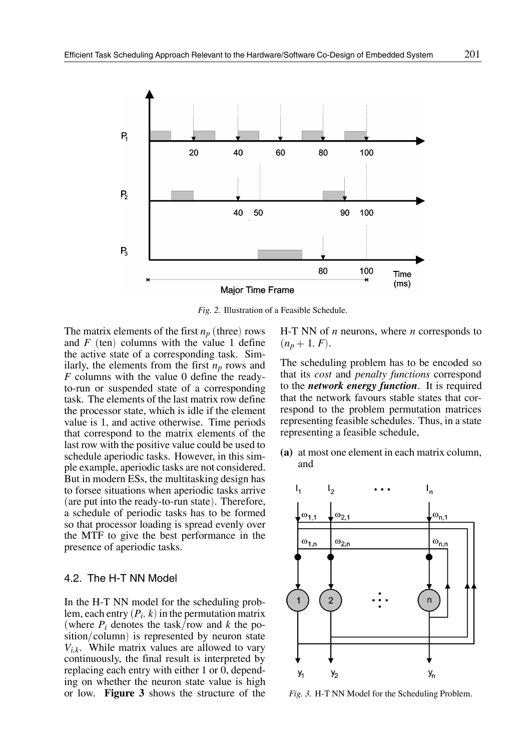

*Fig. 2.* Illustration of a Feasible Schedule.

The matrix elements of the first  $n_p$  (three) rows and  $F$  (ten) columns with the value 1 define the active state of a corresponding task. Similarly, the elements from the first  $n_p$  rows and *F* columns with the value 0 define the readyto-run or suspended state of a corresponding task. The elements of the last matrix row define the processor state, which is idle if the element value is 1, and active otherwise. Time periods that correspond to the matrix elements of the last row with the positive value could be used to schedule aperiodic tasks. However, in this simple example, aperiodic tasks are not considered. But in modern ESs, the multitasking design has to forsee situations when aperiodic tasks arrive  $($ are put into the ready-to-run state $).$  Therefore, a schedule of periodic tasks has to be formed so that processor loading is spread evenly over the MTF to give the best performance in the presence of aperiodic tasks.

# 4.2. The H-T NN Model

In the H-T NN model for the scheduling problem, each entry  $(P_i, k)$  in the permutation matrix (where  $P_i$  denotes the task/row and k the po $sition/column)$  is represented by neuron state  $V_{i,k}$ . While matrix values are allowed to vary continuously, the final result is interpreted by replacing each entry with either 1 or 0, depending on whether the neuron state value is high or low. **Figure 3** shows the structure of the H-T NN of *n* neurons, where *n* corresponds to  $(n_p + 1, F)$ .

The scheduling problem has to be encoded so that its *cost* and *penalty functions* correspond to the *network energy function*. It is required that the network favours stable states that correspond to the problem permutation matrices representing feasible schedules. Thus, in a state representing a feasible schedule,

**(a)** at most one element in each matrix column, and



*Fig. 3.* H-T NN Model for the Scheduling Problem.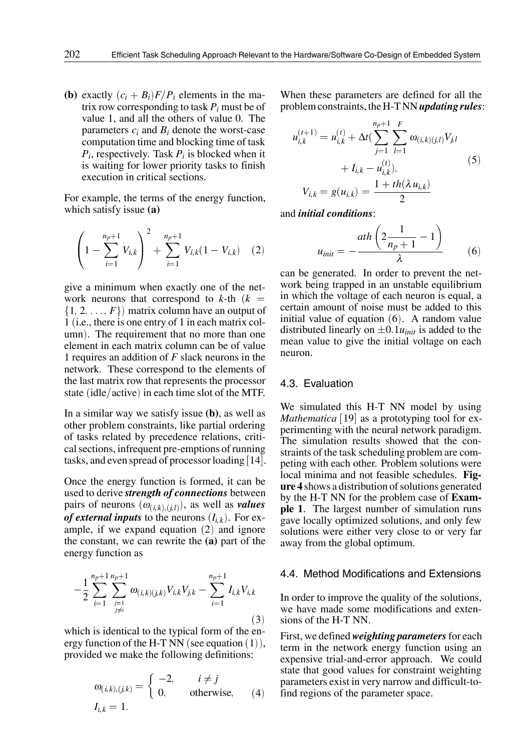**(b)** exactly  $(c_i + B_i)F/P_i$  elements in the matrix row corresponding to task  $P_i$  must be of value 1, and all the others of value 0. The parameters *ci* and *Bi* denote the worst-case computation time and blocking time of task *Pi*, respectively. Task *Pi* is blocked when it is waiting for lower priority tasks to finish execution in critical sections.

For example, the terms of the energy function, which satisfy issue **(a)**

$$
\left(1 - \sum_{i=1}^{n_p+1} V_{i,k}\right)^2 + \sum_{i=1}^{n_p+1} V_{i,k}(1 - V_{i,k}) \quad (2)
$$

give a minimum when exactly one of the network neurons that correspond to  $k$ -th  $(k =$  $\{1, 2, \ldots, F\}$  matrix column have an output of 1 (i.e., there is one entry of 1 in each matrix column). The requirement that no more than one element in each matrix column can be of value 1 requires an addition of *F* slack neurons in the network. These correspond to the elements of the last matrix row that represents the processor state (idle/active) in each time slot of the MTF.

In a similar way we satisfy issue **(b)**, as well as other problem constraints, like partial ordering of tasks related by precedence relations, critical sections, infrequent pre-emptions of running tasks, and even spread of processor loading  $[14]$ .

Once the energy function is formed, it can be used to derive *strength of connections* between pairs of neurons  $(\omega_{(i,k),(j,l)})$ , as well as *values of external inputs* to the neurons  $(I_{i,k})$ . For example, if we expand equation  $(2)$  and ignore the constant, we can rewrite the **(a)** part of the energy function as

$$
-\frac{1}{2}\sum_{i=1}^{n_{p+1}}\sum_{\substack{j=1 \ j \neq i}}^{n_{p+1}} \omega_{(i,k)(j,k)} V_{i,k} V_{j,k} - \sum_{i=1}^{n_{p+1}} I_{i,k} V_{i,k}
$$
 In order to im we have mad (3)

which is identical to the typical form of the energy function of the H-T NN (see equation  $(1)$ ), provided we make the following definitions:

$$
\omega_{(i,k),(j,k)} = \begin{cases}\n-2, & i \neq j \\
0, & \text{otherwise,} \\
1_{i,k} = 1.\n\end{cases}
$$

When these parameters are defined for all the problem constraints, the H-T NN *updating rules*:

$$
u_{i,k}^{(t+1)} = u_{i,k}^{(t)} + \Delta t \left( \sum_{j=1}^{n_p+1} \sum_{l=1}^{F} \omega_{(i,k)(j,l)} V_{j,l} + I_{i,k} - u_{i,k}^{(t)} \right),
$$
  

$$
V_{i,k} = g(u_{i,k}) = \frac{1 + th(\lambda u_{i,k})}{2}
$$
 (5)

and *initial conditions*:

$$
u_{init} = -\frac{ath\left(2\frac{1}{n_p + 1} - 1\right)}{\lambda} \tag{6}
$$

can be generated. In order to prevent the network being trapped in an unstable equilibrium in which the voltage of each neuron is equal, a certain amount of noise must be added to this initial value of equation  $(6)$ . A random value distributed linearly on  $\pm 0.1u_{init}$  is added to the mean value to give the initial voltage on each neuron.

#### 4.3. Evaluation

We simulated this H-T NN model by using *Mathematica* [19] as a prototyping tool for experimenting with the neural network paradigm. The simulation results showed that the constraints of the task scheduling problem are competing with each other. Problem solutions were local minima and not feasible schedules. **Figure 4** shows a distribution of solutions generated by the H-T NN for the problem case of **Example 1**. The largest number of simulation runs gave locally optimized solutions, and only few solutions were either very close to or very far away from the global optimum.

#### 4.4. Method Modifications and Extensions

3 sions of the H-T NN. In order to improve the quality of the solutions, we have made some modifications and exten-

> First, we defined*weighting parameters*for each term in the network energy function using an expensive trial-and-error approach. We could state that good values for constraint weighting parameters exist in very narrow and difficult-tofind regions of the parameter space.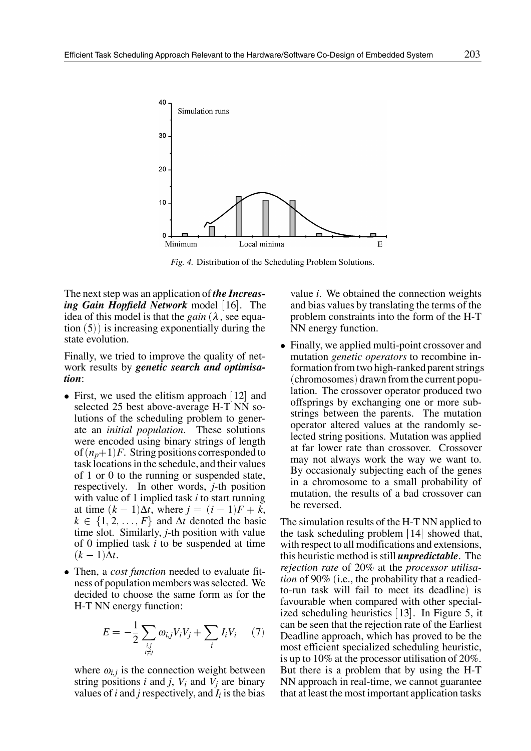

*Fig. 4.* Distribution of the Scheduling Problem Solutions.

The next step was an application of *the Increas*ing Gain Hopfield Network model [16]. The idea of this model is that the *gain*  $(\lambda)$ , see equation  $(5)$ ) is increasing exponentially during the state evolution.

Finally, we tried to improve the quality of network results by *genetic search and optimisation*:

- First, we used the elitism approach  $[12]$  and selected 25 best above-average H-T NN solutions of the scheduling problem to generate an *initial population*. These solutions were encoded using binary strings of length of  $(n_p+1)F$ . String positions corresponded to task locations in the schedule, and their values of 1 or 0 to the running or suspended state, respectively. In other words, *j*-th position with value of 1 implied task *i* to start running at time  $(k - 1)\Delta t$ , where  $j = (i - 1)F + k$ ,  $k \in \{1, 2, \ldots, F\}$  and  $\Delta t$  denoted the basic time slot. Similarly, *j*-th position with value of 0 implied task *i* to be suspended at time  $(k-1)\Delta t$ .
- Then, a *cost function* needed to evaluate fitness of population members was selected. We decided to choose the same form as for the H-T NN energy function:

$$
E = -\frac{1}{2} \sum_{\substack{i,j \\ i \neq j}} \omega_{i,j} V_i V_j + \sum_i I_i V_i \qquad (7)
$$

where  $\omega_{i,j}$  is the connection weight between string positions  $i$  and  $j$ ,  $V_i$  and  $V_j$  are binary values of  $i$  and  $j$  respectively, and  $I_i$  is the bias value *i*. We obtained the connection weights and bias values by translating the terms of the problem constraints into the form of the H-T NN energy function.

 Finally, we applied multi-point crossover and mutation *genetic operators* to recombine information from two high-ranked parent strings (chromosomes) drawn from the current population. The crossover operator produced two offsprings by exchanging one or more substrings between the parents. The mutation operator altered values at the randomly selected string positions. Mutation was applied at far lower rate than crossover. Crossover may not always work the way we want to. By occasionaly subjecting each of the genes in a chromosome to a small probability of mutation, the results of a bad crossover can be reversed.

 $\omega_{i,j}V_iV_j + \sum I_iV_i$  (7) Beadline approach, which has proved to be the The simulation results of the H-T NN applied to the task scheduling problem  $[14]$  showed that, with respect to all modifications and extensions, this heuristic method is still *unpredictable*. The *rejection rate* of 20% at the *processor utilisation* of 90% (i.e., the probability that a readiedto-run task will fail to meet its deadline) is favourable when compared with other specialized scheduling heuristics  $[13]$ . In Figure 5, it can be seen that the rejection rate of the Earliest most efficient specialized scheduling heuristic, is up to 10% at the processor utilisation of 20%. But there is a problem that by using the H-T NN approach in real-time, we cannot guarantee that at least the most important application tasks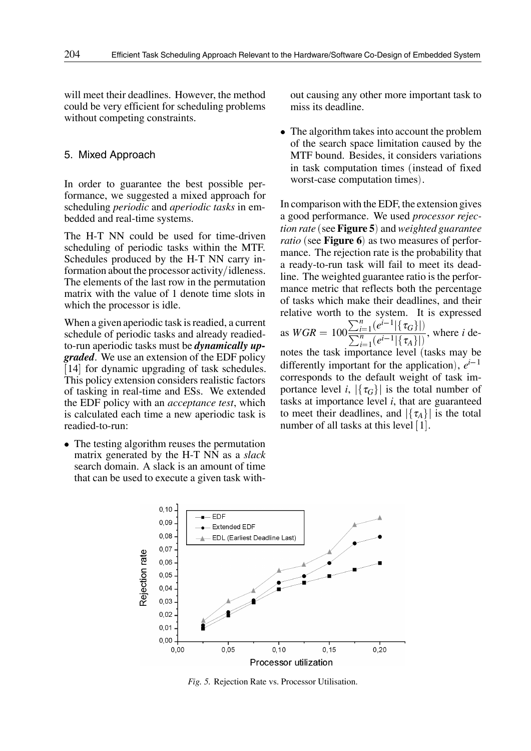will meet their deadlines. However, the method could be very efficient for scheduling problems without competing constraints.

#### 5. Mixed Approach

In order to guarantee the best possible performance, we suggested a mixed approach for scheduling *periodic* and *aperiodic tasks* in embedded and real-time systems.

The H-T NN could be used for time-driven scheduling of periodic tasks within the MTF. Schedules produced by the H-T NN carry information about the processor activity/idleness. The elements of the last row in the permutation matrix with the value of 1 denote time slots in which the processor is idle.

When a given aperiodic task is readied, a current schedule of periodic tasks and already readiedto-run aperiodic tasks must be *dynamically upgraded*. We use an extension of the EDF policy [14] for dynamic upgrading of task schedules. This policy extension considers realistic factors of tasking in real-time and ESs. We extended the EDF policy with an *acceptance test*, which is calculated each time a new aperiodic task is readied-to-run:

 The testing algorithm reuses the permutation matrix generated by the H-T NN as a *slack* search domain. A slack is an amount of time that can be used to execute a given task without causing any other more important task to miss its deadline.

 The algorithm takes into account the problem of the search space limitation caused by the MTF bound. Besides, it considers variations in task computation times (instead of fixed worst-case computation times).

In comparison with the EDF, the extension gives a good performance. We used *processor rejection rate* (see **Figure 5**) and *weighted guarantee ratio* (see **Figure 6**) as two measures of performance. The rejection rate is the probability that a ready-to-run task will fail to meet its deadline. The weighted guarantee ratio is the performance metric that reflects both the percentage of tasks which make their deadlines, and their relative worth to the system. It is expressed as  $WGR = 100 \frac{\sum_{i=1}^{n} (e^{i-1}|\{\tau_G\}|)}{\sum_{i=1}^{n} (e^{i-1}|\{\tau_A\}|)},$  where *i* denotes the task importance level (tasks may be differently important for the application),  $e^{i-1}$ corresponds to the default weight of task importance level *i*,  $|\{\tau_G\}|$  is the total number of tasks at importance level *i*, that are guaranteed to meet their deadlines, and  $|\{\tau_A\}|$  is the total number of all tasks at this level  $[1]$ .



*Fig. 5.* Rejection Rate vs. Processor Utilisation.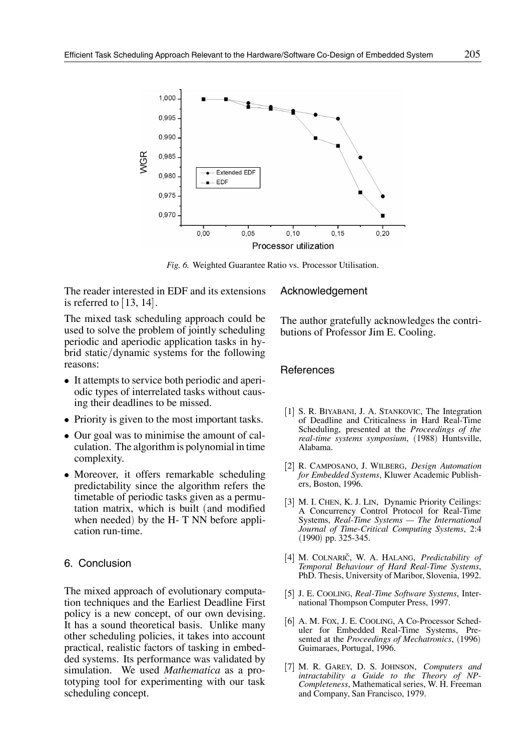

*Fig. 6.* Weighted Guarantee Ratio vs. Processor Utilisation.

The reader interested in EDF and its extensions is referred to  $[13, 14]$ .

The mixed task scheduling approach could be used to solve the problem of jointly scheduling periodic and aperiodic application tasks in hybrid static/dynamic systems for the following reasons:

- It attempts to service both periodic and aperiodic types of interrelated tasks without causing their deadlines to be missed.
- Priority is given to the most important tasks.
- Our goal was to minimise the amount of calculation. The algorithm is polynomial in time complexity.
- Moreover, it offers remarkable scheduling predictability since the algorithm refers the timetable of periodic tasks given as a permutation matrix, which is built (and modified when needed) by the H-  $T$  NN before application run-time.

# 6. Conclusion

The mixed approach of evolutionary computation techniques and the Earliest Deadline First policy is a new concept, of our own devising. It has a sound theoretical basis. Unlike many other scheduling policies, it takes into account practical, realistic factors of tasking in embedded systems. Its performance was validated by simulation. We used *Mathematica* as a prototyping tool for experimenting with our task scheduling concept.

#### Acknowledgement

The author gratefully acknowledges the contributions of Professor Jim E. Cooling.

#### **References**

- [1] S. R. BIYABANI, J. A. STANKOVIC, The Integration of Deadline and Criticalness in Hard Real-Time Scheduling, presented at the *Proceedings of the* real-time systems symposium, (1988) Huntsville, Alabama.
- 2 R. CAMPOSANO, J. WILBERG, *Design Automation for Embedded Systems*, Kluwer Academic Publishers, Boston, 1996.
- [3] M. I. CHEN, K. J. LIN, Dynamic Priority Ceilings: A Concurrency Control Protocol for Real-Time Systems, *Real-Time Systems — The International Journal of Time-Critical Computing Systems*, 2:4  $(1990)$  pp. 325-345.
- [4] M. COLNARIČ, W. A. HALANG, *Predictability of Temporal Behaviour of Hard Real-Time Systems*, PhD. Thesis, University of Maribor, Slovenia, 1992.
- 5 J. E. COOLING, *Real-Time Software Systems*, International Thompson Computer Press, 1997.
- [6] A. M. FOX, J. E. COOLING, A Co-Processor Scheduler for Embedded Real-Time Systems, Presented at the *Proceedings of Mechatronics*, (1996) Guimaraes, Portugal, 1996.
- 7 M. R. GAREY, D. S. JOHNSON, *Computers and intractability a Guide to the Theory of NP-Completeness*, Mathematical series, W. H. Freeman and Company, San Francisco, 1979.